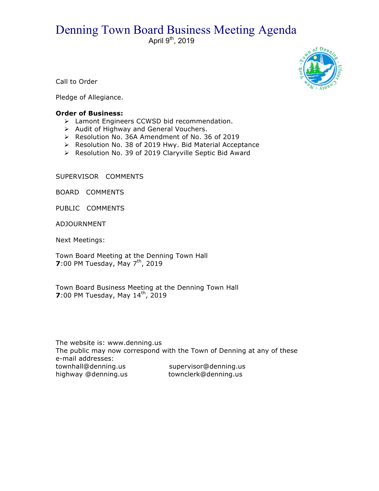## Denning Town Board Business Meeting Agenda

April 9<sup>th</sup>, 2019



Call to Order

Pledge of Allegiance.

## **Order of Business:**

- > Lamont Engineers CCWSD bid recommendation.
- $\triangleright$  Audit of Highway and General Vouchers.
- ! Resolution No. 36A Amendment of No. 36 of 2019
- > Resolution No. 38 of 2019 Hwy. Bid Material Acceptance
- > Resolution No. 39 of 2019 Claryville Septic Bid Award

SUPERVISOR COMMENTS

BOARD COMMENTS

PUBLIC COMMENTS

ADJOURNMENT

Next Meetings:

Town Board Meeting at the Denning Town Hall **7**:00 PM Tuesday, May 7<sup>th</sup>, 2019

Town Board Business Meeting at the Denning Town Hall **7**:00 PM Tuesday, May 14<sup>th</sup>, 2019

The website is: www.denning.us The public may now correspond with the Town of Denning at any of these e-mail addresses: townhall@denning.us supervisor@denning.us highway @denning.us townclerk@denning.us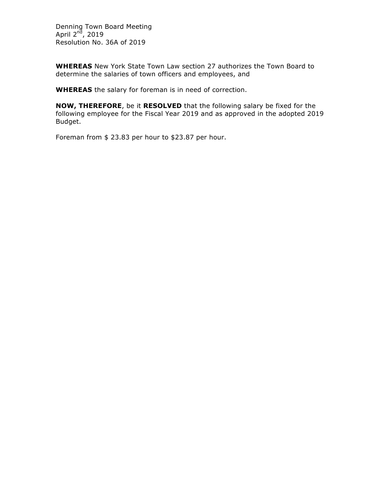Denning Town Board Meeting April 2<sup>nd</sup>, 2019 Resolution No. 36A of 2019

**WHEREAS** New York State Town Law section 27 authorizes the Town Board to determine the salaries of town officers and employees, and

**WHEREAS** the salary for foreman is in need of correction.

**NOW, THEREFORE**, be it **RESOLVED** that the following salary be fixed for the following employee for the Fiscal Year 2019 and as approved in the adopted 2019 Budget.

Foreman from \$ 23.83 per hour to \$23.87 per hour.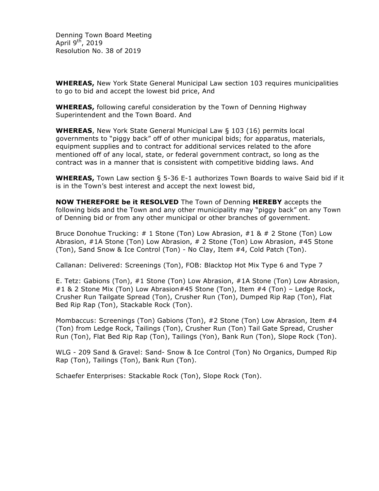Denning Town Board Meeting April  $9^{t\bar{h}}$ , 2019 Resolution No. 38 of 2019

**WHEREAS,** New York State General Municipal Law section 103 requires municipalities to go to bid and accept the lowest bid price, And

**WHEREAS,** following careful consideration by the Town of Denning Highway Superintendent and the Town Board. And

**WHEREAS**, New York State General Municipal Law § 103 (16) permits local governments to "piggy back" off of other municipal bids; for apparatus, materials, equipment supplies and to contract for additional services related to the afore mentioned off of any local, state, or federal government contract, so long as the contract was in a manner that is consistent with competitive bidding laws. And

**WHEREAS,** Town Law section § 5-36 E-1 authorizes Town Boards to waive Said bid if it is in the Town's best interest and accept the next lowest bid,

**NOW THEREFORE be it RESOLVED** The Town of Denning **HEREBY** accepts the following bids and the Town and any other municipality may "piggy back" on any Town of Denning bid or from any other municipal or other branches of government.

Bruce Donohue Trucking: # 1 Stone (Ton) Low Abrasion, #1 & # 2 Stone (Ton) Low Abrasion, #1A Stone (Ton) Low Abrasion, # 2 Stone (Ton) Low Abrasion, #45 Stone (Ton), Sand Snow & Ice Control (Ton) - No Clay, Item #4, Cold Patch (Ton).

Callanan: Delivered: Screenings (Ton), FOB: Blacktop Hot Mix Type 6 and Type 7

E. Tetz: Gabions (Ton), #1 Stone (Ton) Low Abrasion, #1A Stone (Ton) Low Abrasion, #1 & 2 Stone Mix (Ton) Low Abrasion#45 Stone (Ton), Item #4 (Ton) – Ledge Rock, Crusher Run Tailgate Spread (Ton), Crusher Run (Ton), Dumped Rip Rap (Ton), Flat Bed Rip Rap (Ton), Stackable Rock (Ton).

Mombaccus: Screenings (Ton) Gabions (Ton), #2 Stone (Ton) Low Abrasion, Item #4 (Ton) from Ledge Rock, Tailings (Ton), Crusher Run (Ton) Tail Gate Spread, Crusher Run (Ton), Flat Bed Rip Rap (Ton), Tailings (Yon), Bank Run (Ton), Slope Rock (Ton).

WLG - 209 Sand & Gravel: Sand- Snow & Ice Control (Ton) No Organics, Dumped Rip Rap (Ton), Tailings (Ton), Bank Run (Ton).

Schaefer Enterprises: Stackable Rock (Ton), Slope Rock (Ton).